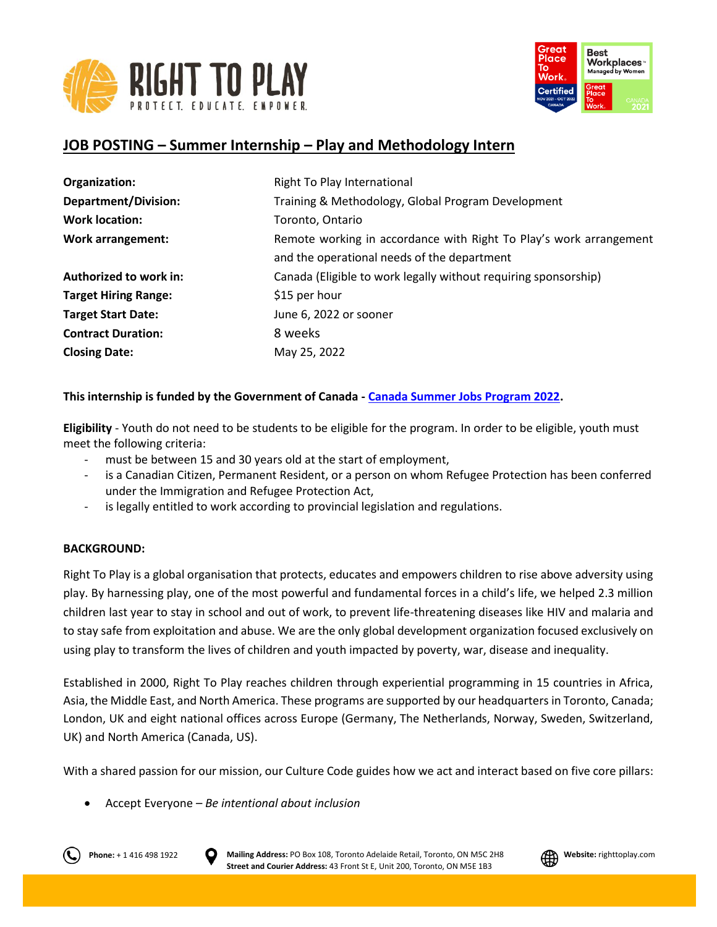



# **JOB POSTING – Summer Internship – Play and Methodology Intern**

| Organization:               | Right To Play International                                        |
|-----------------------------|--------------------------------------------------------------------|
| <b>Department/Division:</b> | Training & Methodology, Global Program Development                 |
| <b>Work location:</b>       | Toronto, Ontario                                                   |
| <b>Work arrangement:</b>    | Remote working in accordance with Right To Play's work arrangement |
|                             | and the operational needs of the department                        |
| Authorized to work in:      | Canada (Eligible to work legally without requiring sponsorship)    |
| <b>Target Hiring Range:</b> | \$15 per hour                                                      |
| <b>Target Start Date:</b>   | June 6, 2022 or sooner                                             |
| <b>Contract Duration:</b>   | 8 weeks                                                            |
| <b>Closing Date:</b>        | May 25, 2022                                                       |

# **This internship is funded by the Government of Canada - [Canada Summer Jobs Program 2022.](https://www.jobbank.gc.ca/youth)**

**Eligibility** - Youth do not need to be students to be eligible for the program. In order to be eligible, youth must meet the following criteria:

- must be between 15 and 30 years old at the start of employment,
- is a Canadian Citizen, Permanent Resident, or a person on whom Refugee Protection has been conferred under the Immigration and Refugee Protection Act,
- is legally entitled to work according to provincial legislation and regulations.

## **BACKGROUND:**

Right To Play is a global organisation that protects, educates and empowers children to rise above adversity using play. By harnessing play, one of the most powerful and fundamental forces in a child's life, we helped 2.3 million children last year to stay in school and out of work, to prevent life-threatening diseases like HIV and malaria and to stay safe from exploitation and abuse. We are the only global development organization focused exclusively on using play to transform the lives of children and youth impacted by poverty, war, disease and inequality.

Established in 2000, Right To Play reaches children through experiential programming in 15 countries in Africa, Asia, the Middle East, and North America. These programs are supported by our headquarters in Toronto, Canada; London, UK and eight national offices across Europe (Germany, The Netherlands, Norway, Sweden, Switzerland, UK) and North America (Canada, US).

With a shared passion for our mission, our Culture Code guides how we act and interact based on five core pillars:

Accept Everyone – *Be intentional about inclusion*



**Phone:** + 1 416 498 1922 **D** Mailing Address: PO Box 108, Toronto Adelaide Retail, Toronto, ON M5C 2H8 **PHONES** Website: righttoplay.com **Street and Courier Address:** 43 Front St E, Unit 200, Toronto, ON M5E 1B3

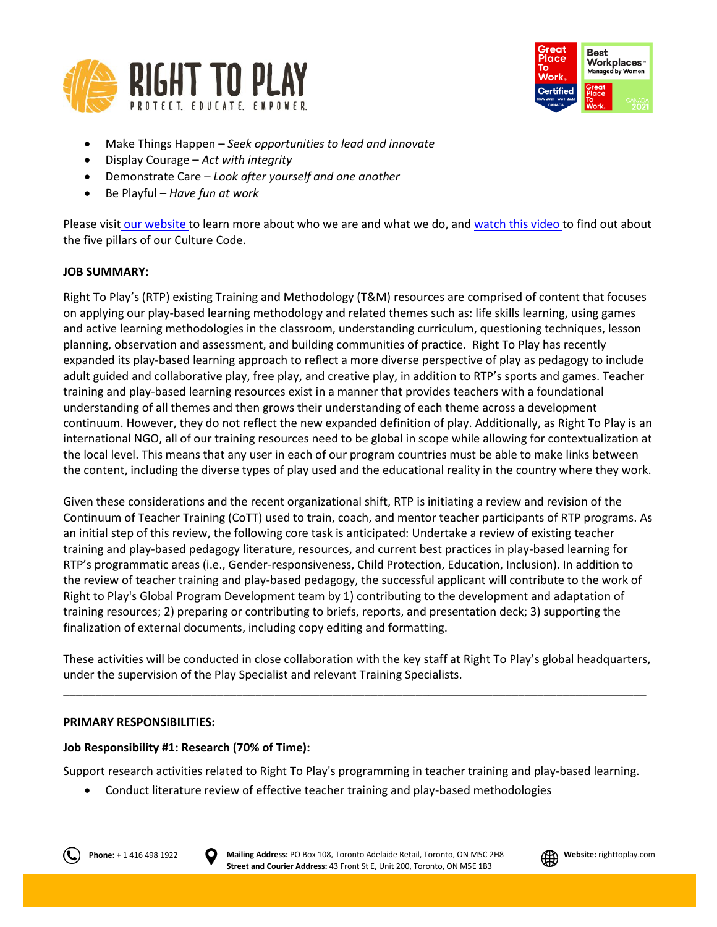



- Make Things Happen *Seek opportunities to lead and innovate*
- Display Courage *Act with integrity*
- Demonstrate Care *Look after yourself and one another*
- Be Playful *Have fun at work*

Please visit [our website](http://www.righttoplay.ca/) to learn more about who we are and what we do, and [watch this video](https://www.righttoplay.com/en/landing/our-culture-code/) to find out about the five pillars of our Culture Code.

## **JOB SUMMARY:**

Right To Play's (RTP) existing Training and Methodology (T&M) resources are comprised of content that focuses on applying our play-based learning methodology and related themes such as: life skills learning, using games and active learning methodologies in the classroom, understanding curriculum, questioning techniques, lesson planning, observation and assessment, and building communities of practice. Right To Play has recently expanded its play-based learning approach to reflect a more diverse perspective of play as pedagogy to include adult guided and collaborative play, free play, and creative play, in addition to RTP's sports and games. Teacher training and play-based learning resources exist in a manner that provides teachers with a foundational understanding of all themes and then grows their understanding of each theme across a development continuum. However, they do not reflect the new expanded definition of play. Additionally, as Right To Play is an international NGO, all of our training resources need to be global in scope while allowing for contextualization at the local level. This means that any user in each of our program countries must be able to make links between the content, including the diverse types of play used and the educational reality in the country where they work.

Given these considerations and the recent organizational shift, RTP is initiating a review and revision of the Continuum of Teacher Training (CoTT) used to train, coach, and mentor teacher participants of RTP programs. As an initial step of this review, the following core task is anticipated: Undertake a review of existing teacher training and play-based pedagogy literature, resources, and current best practices in play-based learning for RTP's programmatic areas (i.e., Gender-responsiveness, Child Protection, Education, Inclusion). In addition to the review of teacher training and play-based pedagogy, the successful applicant will contribute to the work of Right to Play's Global Program Development team by 1) contributing to the development and adaptation of training resources; 2) preparing or contributing to briefs, reports, and presentation deck; 3) supporting the finalization of external documents, including copy editing and formatting.

These activities will be conducted in close collaboration with the key staff at Right To Play's global headquarters, under the supervision of the Play Specialist and relevant Training Specialists.

\_\_\_\_\_\_\_\_\_\_\_\_\_\_\_\_\_\_\_\_\_\_\_\_\_\_\_\_\_\_\_\_\_\_\_\_\_\_\_\_\_\_\_\_\_\_\_\_\_\_\_\_\_\_\_\_\_\_\_\_\_\_\_\_\_\_\_\_\_\_\_\_\_\_\_\_\_\_\_\_\_\_\_\_\_\_\_\_\_\_\_

## **PRIMARY RESPONSIBILITIES:**

## **Job Responsibility #1: Research (70% of Time):**

Support research activities related to Right To Play's programming in teacher training and play-based learning.

Conduct literature review of effective teacher training and play-based methodologies



**Phone:** + 1 416 498 1922 **D** Mailing Address: PO Box 108, Toronto Adelaide Retail, Toronto, ON M5C 2H8 **PHONES** Website: righttoplay.com **Street and Courier Address:** 43 Front St E, Unit 200, Toronto, ON M5E 1B3

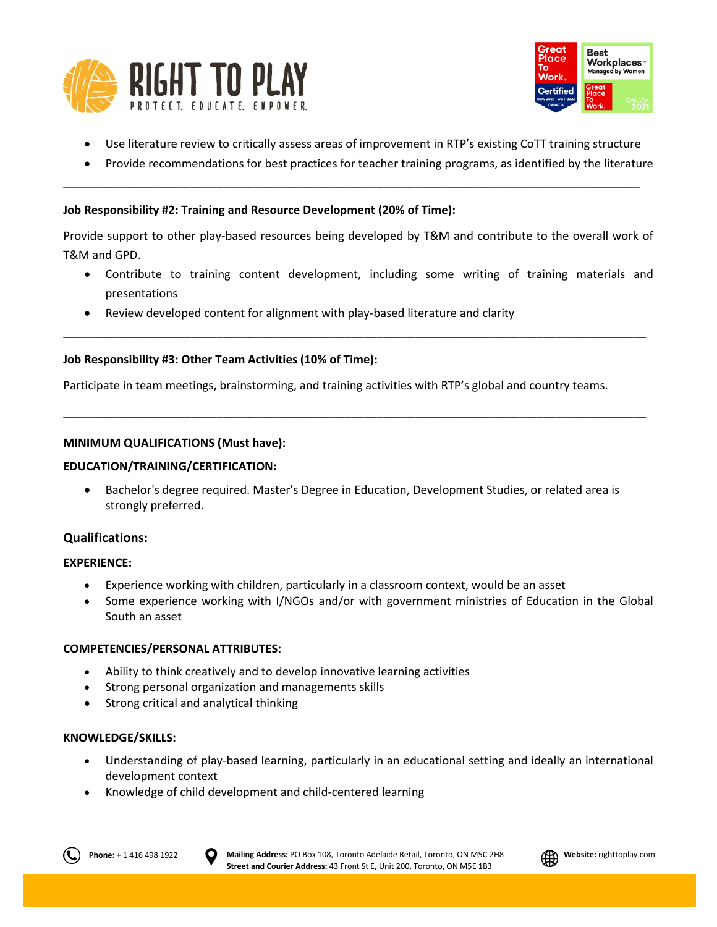



- Use literature review to critically assess areas of improvement in RTP's existing CoTT training structure
- Provide recommendations for best practices for teacher training programs, as identified by the literature

## **Job Responsibility #2: Training and Resource Development (20% of Time):**

Provide support to other play-based resources being developed by T&M and contribute to the overall work of T&M and GPD.

\_\_\_\_\_\_\_\_\_\_\_\_\_\_\_\_\_\_\_\_\_\_\_\_\_\_\_\_\_\_\_\_\_\_\_\_\_\_\_\_\_\_\_\_\_\_\_\_\_\_\_\_\_\_\_\_\_\_\_\_\_\_\_\_\_\_\_\_\_\_\_\_\_\_\_\_\_\_\_\_\_\_\_\_\_\_\_\_\_\_\_

\_\_\_\_\_\_\_\_\_\_\_\_\_\_\_\_\_\_\_\_\_\_\_\_\_\_\_\_\_\_\_\_\_\_\_\_\_\_\_\_\_\_\_\_\_\_\_\_\_\_\_\_\_\_\_\_\_\_\_\_\_\_\_\_\_\_\_\_\_\_\_\_\_\_\_\_\_\_\_\_\_\_\_\_\_\_\_\_\_\_\_

\_\_\_\_\_\_\_\_\_\_\_\_\_\_\_\_\_\_\_\_\_\_\_\_\_\_\_\_\_\_\_\_\_\_\_\_\_\_\_\_\_\_\_\_\_\_\_\_\_\_\_\_\_\_\_\_\_\_\_\_\_\_\_\_\_\_\_\_\_\_\_\_\_\_\_\_\_\_\_\_\_\_\_\_\_\_\_\_\_\_

- Contribute to training content development, including some writing of training materials and presentations
- Review developed content for alignment with play-based literature and clarity

# **Job Responsibility #3: Other Team Activities (10% of Time):**

Participate in team meetings, brainstorming, and training activities with RTP's global and country teams.

# **MINIMUM QUALIFICATIONS (Must have):**

## **EDUCATION/TRAINING/CERTIFICATION:**

 Bachelor's degree required. Master's Degree in Education, Development Studies, or related area is strongly preferred.

# **Qualifications:**

## **EXPERIENCE:**

- Experience working with children, particularly in a classroom context, would be an asset
- Some experience working with I/NGOs and/or with government ministries of Education in the Global South an asset

## **COMPETENCIES/PERSONAL ATTRIBUTES:**

- Ability to think creatively and to develop innovative learning activities
- Strong personal organization and managements skills
- Strong critical and analytical thinking

## **KNOWLEDGE/SKILLS:**

- Understanding of play-based learning, particularly in an educational setting and ideally an international development context
- Knowledge of child development and child-centered learning

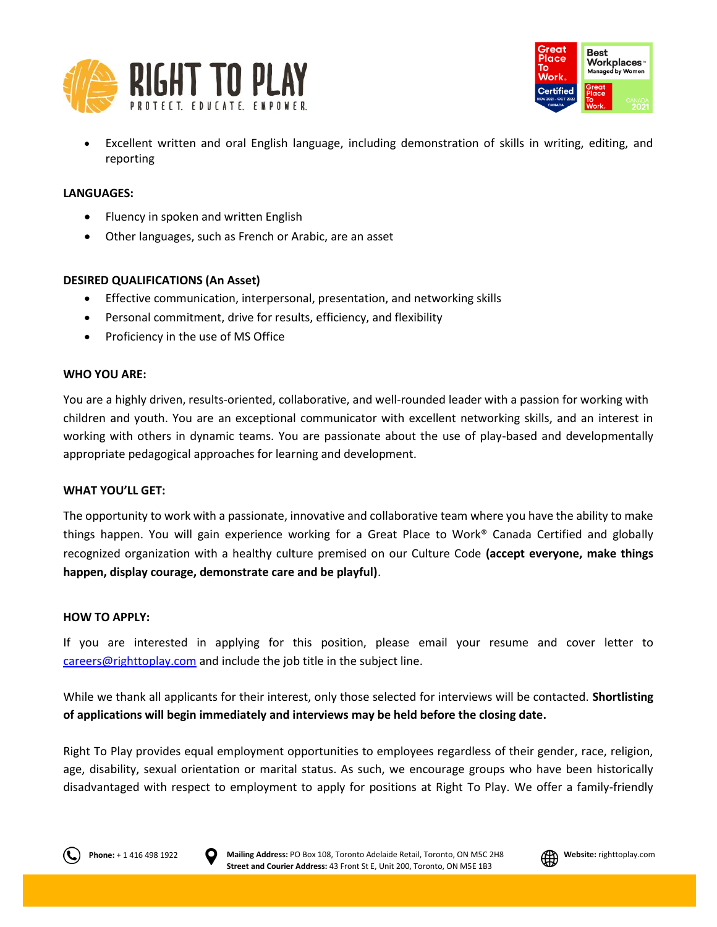



 Excellent written and oral English language, including demonstration of skills in writing, editing, and reporting

#### **LANGUAGES:**

- Fluency in spoken and written English
- Other languages, such as French or Arabic, are an asset

#### **DESIRED QUALIFICATIONS (An Asset)**

- Effective communication, interpersonal, presentation, and networking skills
- Personal commitment, drive for results, efficiency, and flexibility
- Proficiency in the use of MS Office

#### **WHO YOU ARE:**

You are a highly driven, results-oriented, collaborative, and well-rounded leader with a passion for working with children and youth. You are an exceptional communicator with excellent networking skills, and an interest in working with others in dynamic teams. You are passionate about the use of play-based and developmentally appropriate pedagogical approaches for learning and development.

#### **WHAT YOU'LL GET:**

The opportunity to work with a passionate, innovative and collaborative team where you have the ability to make things happen. You will gain experience working for a Great Place to Work® Canada Certified and globally recognized organization with a healthy culture premised on our Culture Code **(accept everyone, make things happen, display courage, demonstrate care and be playful)**.

#### **HOW TO APPLY:**

If you are interested in applying for this position, please email your resume and cover letter to [careers@righttoplay.com](mailto:careers@righttoplay.com) and include the job title in the subject line.

While we thank all applicants for their interest, only those selected for interviews will be contacted. **Shortlisting of applications will begin immediately and interviews may be held before the closing date.**

Right To Play provides equal employment opportunities to employees regardless of their gender, race, religion, age, disability, sexual orientation or marital status. As such, we encourage groups who have been historically disadvantaged with respect to employment to apply for positions at Right To Play. We offer a family-friendly